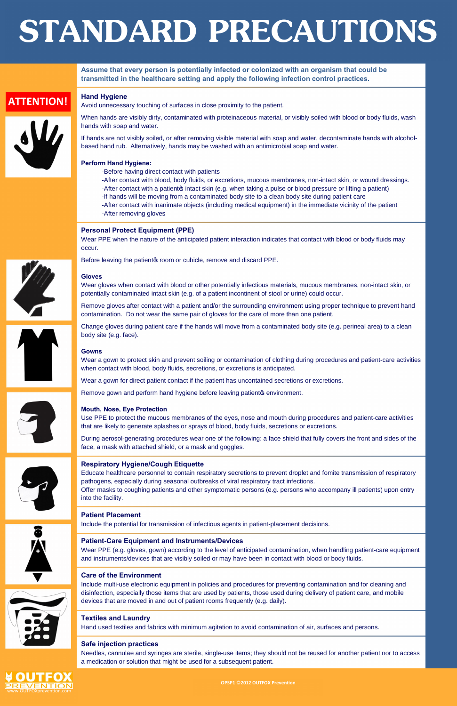**Assume that every person is potentially infected or colonized with an organism that could be transmitted in the healthcare setting and apply the following infection control practices.**

# **Hand Hygiene**

Avoid unnecessary touching of surfaces in close proximity to the patient.

Before leaving the patient of room or cubicle, remove and discard PPE.

When hands are visibly dirty, contaminated with proteinaceous material, or visibly soiled with blood or body fluids, wash hands with soap and water.

If hands are not visibly soiled, or after removing visible material with soap and water, decontaminate hands with alcoholbased hand rub. Alternatively, hands may be washed with an antimicrobial soap and water.

## **Perform Hand Hygiene:**

-Before having direct contact with patients

-After contact with blood, body fluids, or excretions, mucous membranes, non-intact skin, or wound dressings. -After contact with a patient intact skin (e.g. when taking a pulse or blood pressure or lifting a patient) -If hands will be moving from a contaminated body site to a clean body site during patient care -After contact with inanimate objects (including medical equipment) in the immediate vicinity of the patient -After removing gloves

## **Personal Protect Equipment (PPE)**

Wear PPE when the nature of the anticipated patient interaction indicates that contact with blood or body fluids may occur.



# **Gloves**

Wear gloves when contact with blood or other potentially infectious materials, mucous membranes, non-intact skin, or potentially contaminated intact skin (e.g. of a patient incontinent of stool or urine) could occur.

Remove gloves after contact with a patient and/or the surrounding environment using proper technique to prevent hand contamination. Do not wear the same pair of gloves for the care of more than one patient.

Wear PPE (e.g. gloves, gown) according to the level of anticipated contamination, when handling patient-care equipment and instruments/devices that are visibly soiled or may have been in contact with blood or body fluids.

Change gloves during patient care if the hands will move from a contaminated body site (e.g. perineal area) to a clean body site (e.g. face).

## **Gowns**

Wear a gown to protect skin and prevent soiling or contamination of clothing during procedures and patient-care activities when contact with blood, body fluids, secretions, or excretions is anticipated.

Wear a gown for direct patient contact if the patient has uncontained secretions or excretions.

Remove gown and perform hand hygiene before leaving patients environment.





Use PPE to protect the mucous membranes of the eyes, nose and mouth during procedures and patient-care activities that are likely to generate splashes or sprays of blood, body fluids, secretions or excretions.

During aerosol-generating procedures wear one of the following: a face shield that fully covers the front and sides of the face, a mask with attached shield, or a mask and goggles.

## **Respiratory Hygiene/Cough Etiquette**

Educate healthcare personnel to contain respiratory secretions to prevent droplet and fomite transmission of respiratory pathogens, especially during seasonal outbreaks of viral respiratory tract infections.

Offer masks to coughing patients and other symptomatic persons (e.g. persons who accompany ill patients) upon entry into the facility.

## **Patient Placement**





Include the potential for transmission of infectious agents in patient-placement decisions.

## **Patient-Care Equipment and Instruments/Devices**

## **Care of the Environment**



Include multi-use electronic equipment in policies and procedures for preventing contamination and for cleaning and disinfection, especially those items that are used by patients, those used during delivery of patient care, and mobile devices that are moved in and out of patient rooms frequently (e.g. daily).

## **Textiles and Laundry**

Hand used textiles and fabrics with minimum agitation to avoid contamination of air, surfaces and persons.

## **Safe injection practices**

Needles, cannulae and syringes are sterile, single-use items; they should not be reused for another patient nor to access a medication or solution that might be used for a subsequent patient.

**OPSP1 ©2012 OUTFOX Prevention**

# **ATTENTION!**





# **STANDARD PRECAUTIONS**